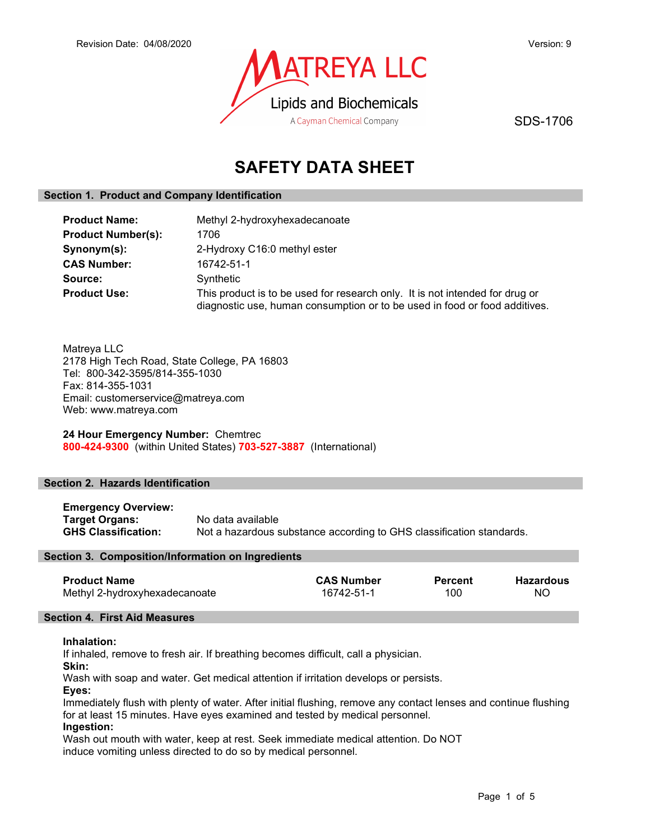

SDS-1706

# SAFETY DATA SHEET

# Section 1. Product and Company Identification

| <b>Product Name:</b>      | Methyl 2-hydroxyhexadecanoate                                                                                                                              |  |
|---------------------------|------------------------------------------------------------------------------------------------------------------------------------------------------------|--|
| <b>Product Number(s):</b> | 1706                                                                                                                                                       |  |
| Synonym(s):               | 2-Hydroxy C16:0 methyl ester                                                                                                                               |  |
| <b>CAS Number:</b>        | 16742-51-1                                                                                                                                                 |  |
| Source:                   | Synthetic                                                                                                                                                  |  |
| <b>Product Use:</b>       | This product is to be used for research only. It is not intended for drug or<br>diagnostic use, human consumption or to be used in food or food additives. |  |

Matreya LLC 2178 High Tech Road, State College, PA 16803 Tel: 800-342-3595/814-355-1030 Fax: 814-355-1031 Email: customerservice@matreya.com Web: www.matreya.com

24 Hour Emergency Number: Chemtrec 800-424-9300 (within United States) 703-527-3887 (International)

# Section 2. Hazards Identification

Emergency Overview: **Target Organs:** No data available<br> **GHS Classification:** Not a hazardous s Not a hazardous substance according to GHS classification standards.

# Section 3. Composition/Information on Ingredients

| <b>Product Name</b>           | <b>CAS Number</b> | <b>Percent</b> | <b>Hazardous</b> |
|-------------------------------|-------------------|----------------|------------------|
| Methyl 2-hydroxyhexadecanoate | 16742-51-1        | 100            | NC               |

# Section 4. First Aid Measures

# Inhalation:

If inhaled, remove to fresh air. If breathing becomes difficult, call a physician.

Skin:

Wash with soap and water. Get medical attention if irritation develops or persists.

Eyes:

Immediately flush with plenty of water. After initial flushing, remove any contact lenses and continue flushing for at least 15 minutes. Have eyes examined and tested by medical personnel.

# Ingestion:

Wash out mouth with water, keep at rest. Seek immediate medical attention. Do NOT induce vomiting unless directed to do so by medical personnel.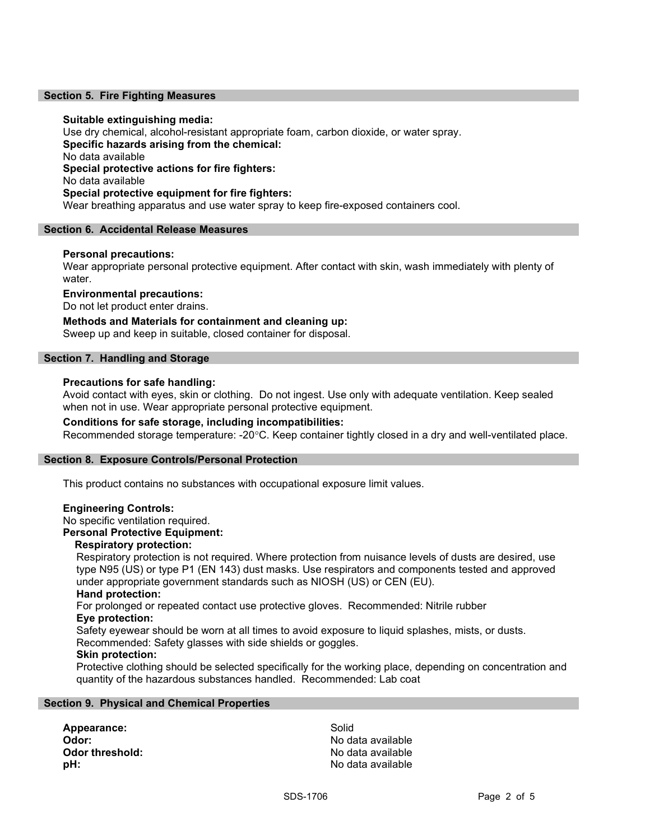# Section 5. Fire Fighting Measures

# Suitable extinguishing media:

Use dry chemical, alcohol-resistant appropriate foam, carbon dioxide, or water spray. Specific hazards arising from the chemical: No data available Special protective actions for fire fighters: No data available Special protective equipment for fire fighters: Wear breathing apparatus and use water spray to keep fire-exposed containers cool.

# Section 6. Accidental Release Measures

# Personal precautions:

Wear appropriate personal protective equipment. After contact with skin, wash immediately with plenty of water.

# Environmental precautions:

Do not let product enter drains.

Methods and Materials for containment and cleaning up: Sweep up and keep in suitable, closed container for disposal.

# Section 7. Handling and Storage

# Precautions for safe handling:

Avoid contact with eyes, skin or clothing. Do not ingest. Use only with adequate ventilation. Keep sealed when not in use. Wear appropriate personal protective equipment.

# Conditions for safe storage, including incompatibilities:

Recommended storage temperature: -20°C. Keep container tightly closed in a dry and well-ventilated place.

# Section 8. Exposure Controls/Personal Protection

This product contains no substances with occupational exposure limit values.

# Engineering Controls:

No specific ventilation required.

# Personal Protective Equipment:

# Respiratory protection:

Respiratory protection is not required. Where protection from nuisance levels of dusts are desired, use type N95 (US) or type P1 (EN 143) dust masks. Use respirators and components tested and approved under appropriate government standards such as NIOSH (US) or CEN (EU).

# Hand protection:

For prolonged or repeated contact use protective gloves. Recommended: Nitrile rubber Eye protection:

Safety eyewear should be worn at all times to avoid exposure to liquid splashes, mists, or dusts. Recommended: Safety glasses with side shields or goggles.

# Skin protection:

Protective clothing should be selected specifically for the working place, depending on concentration and quantity of the hazardous substances handled. Recommended: Lab coat

# Section 9. Physical and Chemical Properties

Appearance: Solid Odor: No data available **Odor threshold:** No data available **pH:**  $\blacksquare$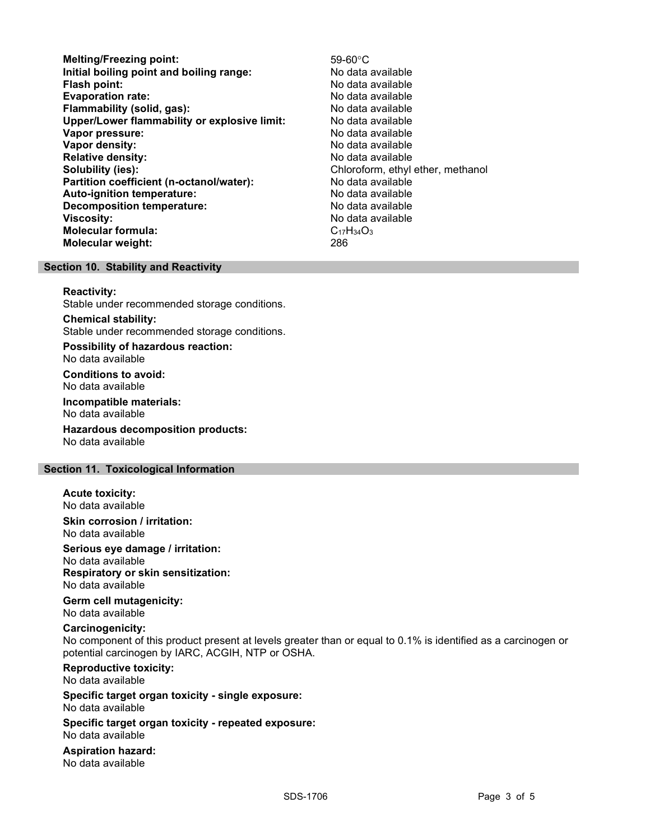- Melting/Freezing point: 59-60°C Initial boiling point and boiling range: No data available **Flash point:** No data available in the set of the set of the No data available in the set of the set of the set of the set of the set of the set of the set of the set of the set of the set of the set of the set of the set Evaporation rate: No data available Flammability (solid, gas): No data available Upper/Lower flammability or explosive limit: No data available Vapor pressure: No data available Vapor density: No data available Relative density:<br>
Solubility (ies):<br>
Solubility (ies):<br>
No data available<br>
Chloroform, ethyl Partition coefficient (n-octanol/water): No data available Auto-ignition temperature: No data available Decomposition temperature: No data available **Viscosity:** No data available in the set of the set of the set of the set of the set of the set of the set of the set of the set of the set of the set of the set of the set of the set of the set of the set of the set of t Molecular formula: C<sub>17</sub>H<sub>34</sub>O<sub>3</sub> Molecular weight: 286
	- Chloroform, ethyl ether, methanol

# Section 10. Stability and Reactivity

# Reactivity:

Stable under recommended storage conditions.

Chemical stability: Stable under recommended storage conditions.

Possibility of hazardous reaction: No data available

Conditions to avoid: No data available

Incompatible materials: No data available

Hazardous decomposition products: No data available

# Section 11. Toxicological Information

Acute toxicity: No data available

Skin corrosion / irritation: No data available

Serious eye damage / irritation: No data available

Respiratory or skin sensitization: No data available

Germ cell mutagenicity: No data available

# Carcinogenicity:

No component of this product present at levels greater than or equal to 0.1% is identified as a carcinogen or potential carcinogen by IARC, ACGIH, NTP or OSHA.

Reproductive toxicity: No data available

Specific target organ toxicity - single exposure: No data available

Specific target organ toxicity - repeated exposure: No data available

Aspiration hazard: No data available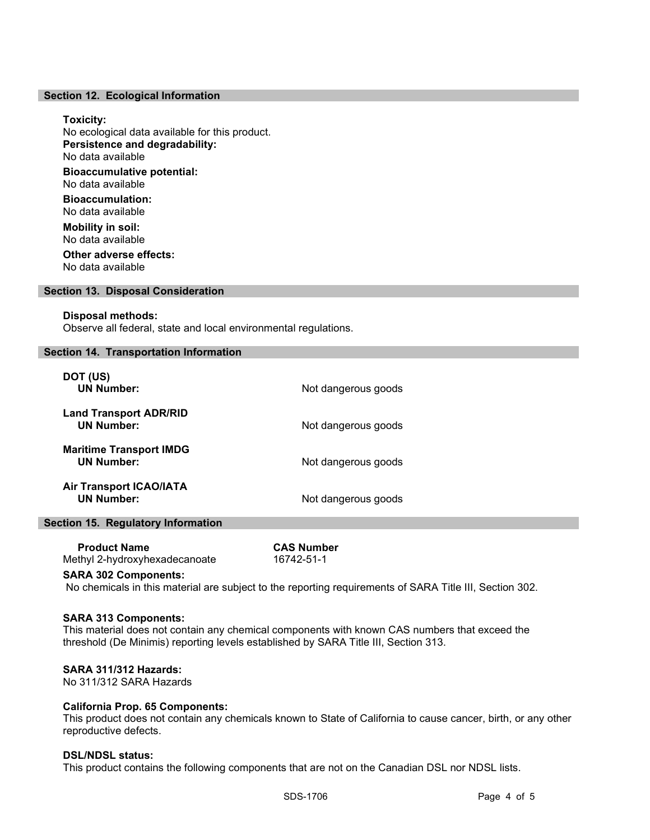# Section 12. Ecological Information

#### Toxicity:

No ecological data available for this product. Persistence and degradability: No data available Bioaccumulative potential: No data available

Bioaccumulation: No data available

Mobility in soil: No data available Other adverse effects:

No data available

# Section 13. Disposal Consideration

#### Disposal methods:

Observe all federal, state and local environmental regulations.

#### Section 14. Transportation Information

| DOT (US)<br><b>UN Number:</b>                       | Not dangerous goods |
|-----------------------------------------------------|---------------------|
| <b>Land Transport ADR/RID</b><br><b>UN Number:</b>  | Not dangerous goods |
| <b>Maritime Transport IMDG</b><br><b>UN Number:</b> | Not dangerous goods |
| <b>Air Transport ICAO/IATA</b><br><b>UN Number:</b> | Not dangerous goods |

# Section 15. Regulatory Information

| <b>Product Name</b>           | <b>CAS Number</b> |
|-------------------------------|-------------------|
| Methyl 2-hydroxyhexadecanoate | 16742-51-1        |

#### SARA 302 Components:

No chemicals in this material are subject to the reporting requirements of SARA Title III, Section 302.

# SARA 313 Components:

This material does not contain any chemical components with known CAS numbers that exceed the threshold (De Minimis) reporting levels established by SARA Title III, Section 313.

#### SARA 311/312 Hazards:

No 311/312 SARA Hazards

# California Prop. 65 Components:

This product does not contain any chemicals known to State of California to cause cancer, birth, or any other reproductive defects.

#### DSL/NDSL status:

This product contains the following components that are not on the Canadian DSL nor NDSL lists.